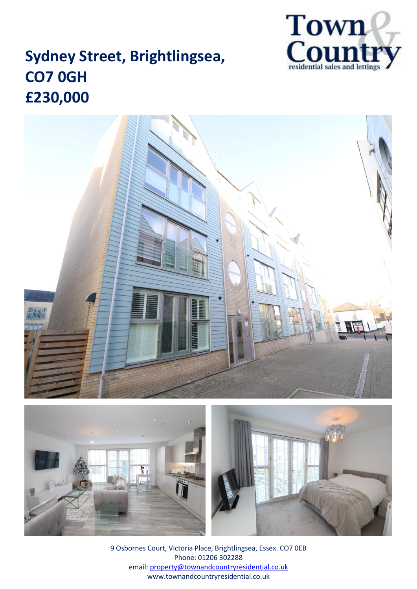

# **Sydney Street, Brightlingsea, CO7 0GH £230,000**







9 Osbornes Court, Victoria Place, Brightlingsea, Essex. CO7 0EB Phone: 01206 302288 email: [property@townandcountryresidential.co.uk](mailto:property@townandcountryresidential.co.uk) www.townandcountryresidential.co.uk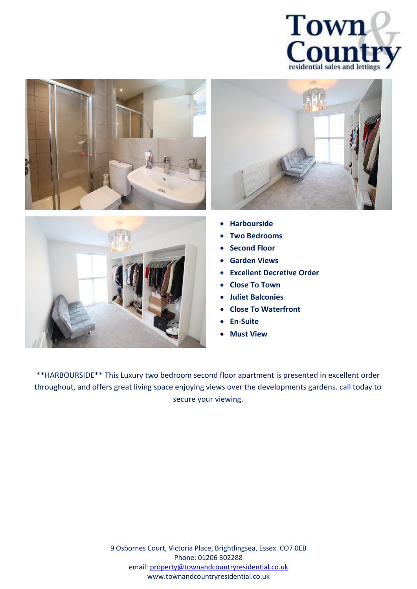







- **Harbourside**
- **Two Bedrooms**
- **Second Floor**
- **Garden Views**
- **Excellent Decretive Order**
- **Close To Town**
- **Juliet Balconies**
- **Close To Waterfront**
- **En-Suite**
- **Must View**

\*\*HARBOURSIDE\*\* This Luxury two bedroom second floor apartment is presented in excellent order throughout, and offers great living space enjoying views over the developments gardens. call today to secure your viewing.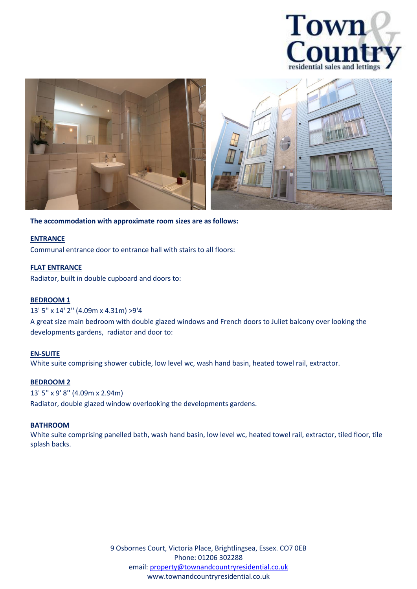



**The accommodation with approximate room sizes are as follows:**

## **ENTRANCE**

Communal entrance door to entrance hall with stairs to all floors:

## **FLAT ENTRANCE**

Radiator, built in double cupboard and doors to:

## **BEDROOM 1**

#### 13' 5'' x 14' 2'' (4.09m x 4.31m) >9'4

A great size main bedroom with double glazed windows and French doors to Juliet balcony over looking the developments gardens, radiator and door to:

#### **EN-SUITE**

White suite comprising shower cubicle, low level wc, wash hand basin, heated towel rail, extractor.

## **BEDROOM 2**

#### 13' 5'' x 9' 8'' (4.09m x 2.94m)

Radiator, double glazed window overlooking the developments gardens.

#### **BATHROOM**

White suite comprising panelled bath, wash hand basin, low level wc, heated towel rail, extractor, tiled floor, tile splash backs.

> 9 Osbornes Court, Victoria Place, Brightlingsea, Essex. CO7 0EB Phone: 01206 302288 email: [property@townandcountryresidential.co.uk](mailto:property@townandcountryresidential.co.uk) www.townandcountryresidential.co.uk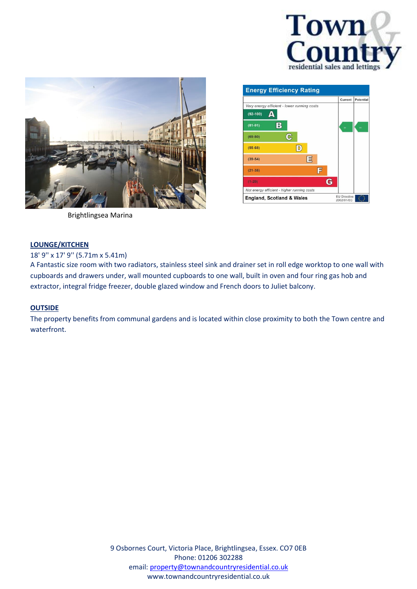



|                                             |    |    |   | Current | Potential |
|---------------------------------------------|----|----|---|---------|-----------|
| Very energy efficient - lower running costs |    |    |   |         |           |
| $(92 - 100)$                                |    |    |   |         |           |
| В<br>$(81 - 91)$                            |    |    |   | 84      | 94        |
| $(69 - 80)$                                 | ද  |    |   |         |           |
| $(55-68)$                                   | D. |    |   |         |           |
| $(39-54)$                                   |    | ΙE |   |         |           |
| $(21-38)$                                   |    | F  |   |         |           |
| $(1 - 20)$                                  |    |    | G |         |           |
| Not energy efficient - higher running costs |    |    |   |         |           |

Brightlingsea Marina

## **LOUNGE/KITCHEN**

18' 9'' x 17' 9'' (5.71m x 5.41m)

A Fantastic size room with two radiators, stainless steel sink and drainer set in roll edge worktop to one wall with cupboards and drawers under, wall mounted cupboards to one wall, built in oven and four ring gas hob and extractor, integral fridge freezer, double glazed window and French doors to Juliet balcony.

## **OUTSIDE**

The property benefits from communal gardens and is located within close proximity to both the Town centre and waterfront.